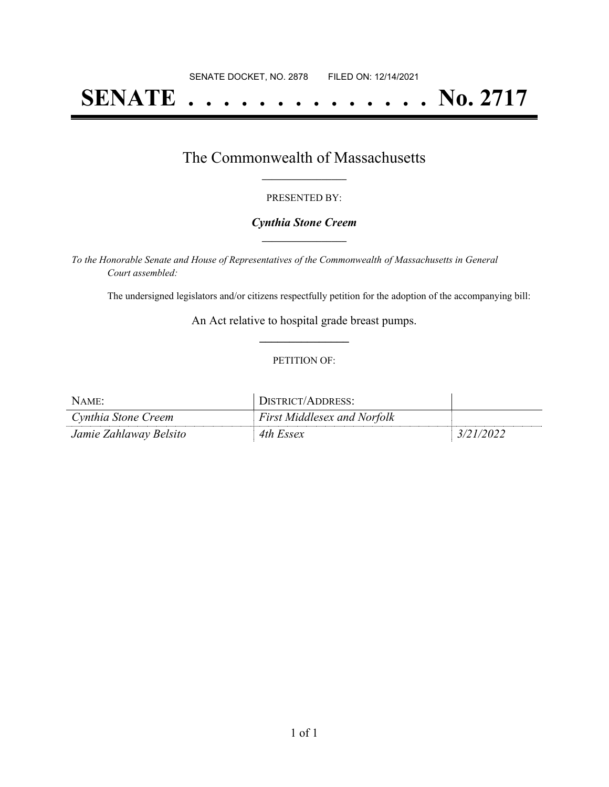# **SENATE . . . . . . . . . . . . . . No. 2717**

## The Commonwealth of Massachusetts **\_\_\_\_\_\_\_\_\_\_\_\_\_\_\_\_\_**

#### PRESENTED BY:

#### *Cynthia Stone Creem* **\_\_\_\_\_\_\_\_\_\_\_\_\_\_\_\_\_**

*To the Honorable Senate and House of Representatives of the Commonwealth of Massachusetts in General Court assembled:*

The undersigned legislators and/or citizens respectfully petition for the adoption of the accompanying bill:

An Act relative to hospital grade breast pumps. **\_\_\_\_\_\_\_\_\_\_\_\_\_\_\_**

#### PETITION OF:

| NAME:                  | <sup>1</sup> DISTRICT/ADDRESS:     |           |
|------------------------|------------------------------------|-----------|
| Cynthia Stone Creem    | <b>First Middlesex and Norfolk</b> |           |
| Jamie Zahlaway Belsito | 4th Essex                          | 3/21/2022 |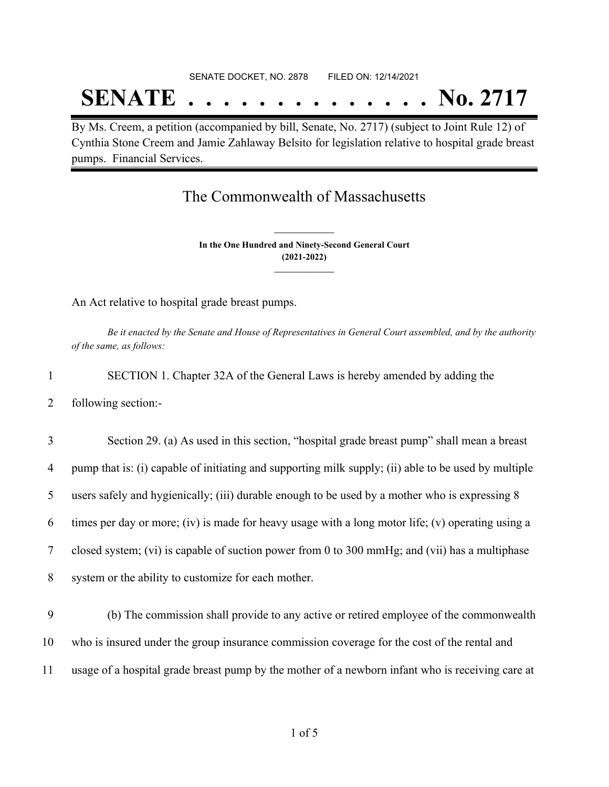# SENATE DOCKET, NO. 2878 FILED ON: 12/14/2021 **SENATE . . . . . . . . . . . . . . No. 2717**

By Ms. Creem, a petition (accompanied by bill, Senate, No. 2717) (subject to Joint Rule 12) of Cynthia Stone Creem and Jamie Zahlaway Belsito for legislation relative to hospital grade breast pumps. Financial Services.

## The Commonwealth of Massachusetts

**In the One Hundred and Ninety-Second General Court (2021-2022) \_\_\_\_\_\_\_\_\_\_\_\_\_\_\_**

**\_\_\_\_\_\_\_\_\_\_\_\_\_\_\_**

An Act relative to hospital grade breast pumps.

Be it enacted by the Senate and House of Representatives in General Court assembled, and by the authority *of the same, as follows:*

- 1 SECTION 1. Chapter 32A of the General Laws is hereby amended by adding the
- 2 following section:-

 Section 29. (a) As used in this section, "hospital grade breast pump" shall mean a breast pump that is: (i) capable of initiating and supporting milk supply; (ii) able to be used by multiple users safely and hygienically; (iii) durable enough to be used by a mother who is expressing 8 times per day or more; (iv) is made for heavy usage with a long motor life; (v) operating using a closed system; (vi) is capable of suction power from 0 to 300 mmHg; and (vii) has a multiphase system or the ability to customize for each mother.

9 (b) The commission shall provide to any active or retired employee of the commonwealth 10 who is insured under the group insurance commission coverage for the cost of the rental and 11 usage of a hospital grade breast pump by the mother of a newborn infant who is receiving care at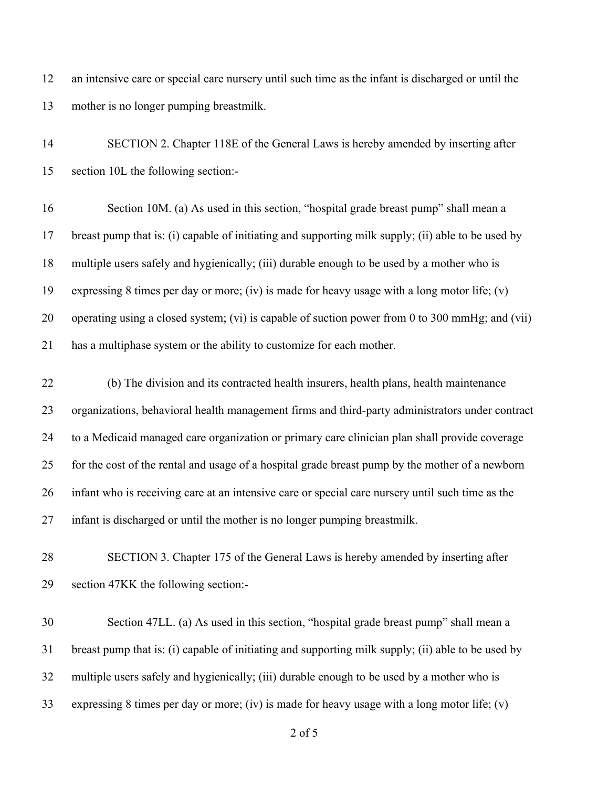an intensive care or special care nursery until such time as the infant is discharged or until the mother is no longer pumping breastmilk.

 SECTION 2. Chapter 118E of the General Laws is hereby amended by inserting after section 10L the following section:- Section 10M. (a) As used in this section, "hospital grade breast pump" shall mean a breast pump that is: (i) capable of initiating and supporting milk supply; (ii) able to be used by multiple users safely and hygienically; (iii) durable enough to be used by a mother who is expressing 8 times per day or more; (iv) is made for heavy usage with a long motor life; (v) operating using a closed system; (vi) is capable of suction power from 0 to 300 mmHg; and (vii) has a multiphase system or the ability to customize for each mother. (b) The division and its contracted health insurers, health plans, health maintenance

 organizations, behavioral health management firms and third-party administrators under contract to a Medicaid managed care organization or primary care clinician plan shall provide coverage for the cost of the rental and usage of a hospital grade breast pump by the mother of a newborn infant who is receiving care at an intensive care or special care nursery until such time as the infant is discharged or until the mother is no longer pumping breastmilk.

 SECTION 3. Chapter 175 of the General Laws is hereby amended by inserting after section 47KK the following section:-

 Section 47LL. (a) As used in this section, "hospital grade breast pump" shall mean a breast pump that is: (i) capable of initiating and supporting milk supply; (ii) able to be used by multiple users safely and hygienically; (iii) durable enough to be used by a mother who is expressing 8 times per day or more; (iv) is made for heavy usage with a long motor life; (v)

of 5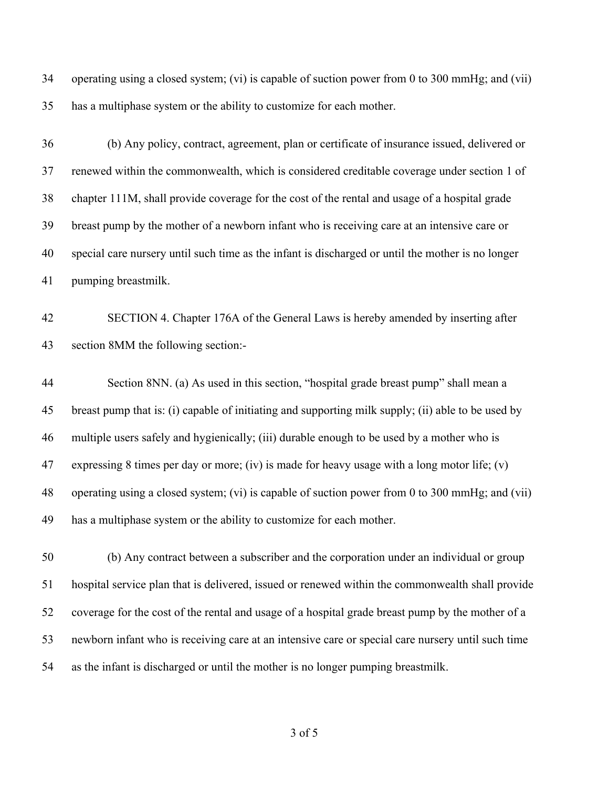operating using a closed system; (vi) is capable of suction power from 0 to 300 mmHg; and (vii) has a multiphase system or the ability to customize for each mother.

 (b) Any policy, contract, agreement, plan or certificate of insurance issued, delivered or renewed within the commonwealth, which is considered creditable coverage under section 1 of chapter 111M, shall provide coverage for the cost of the rental and usage of a hospital grade breast pump by the mother of a newborn infant who is receiving care at an intensive care or special care nursery until such time as the infant is discharged or until the mother is no longer pumping breastmilk.

 SECTION 4. Chapter 176A of the General Laws is hereby amended by inserting after section 8MM the following section:-

 Section 8NN. (a) As used in this section, "hospital grade breast pump" shall mean a breast pump that is: (i) capable of initiating and supporting milk supply; (ii) able to be used by multiple users safely and hygienically; (iii) durable enough to be used by a mother who is 47 expressing 8 times per day or more; (iv) is made for heavy usage with a long motor life; (v) operating using a closed system; (vi) is capable of suction power from 0 to 300 mmHg; and (vii) has a multiphase system or the ability to customize for each mother.

 (b) Any contract between a subscriber and the corporation under an individual or group hospital service plan that is delivered, issued or renewed within the commonwealth shall provide coverage for the cost of the rental and usage of a hospital grade breast pump by the mother of a newborn infant who is receiving care at an intensive care or special care nursery until such time as the infant is discharged or until the mother is no longer pumping breastmilk.

of 5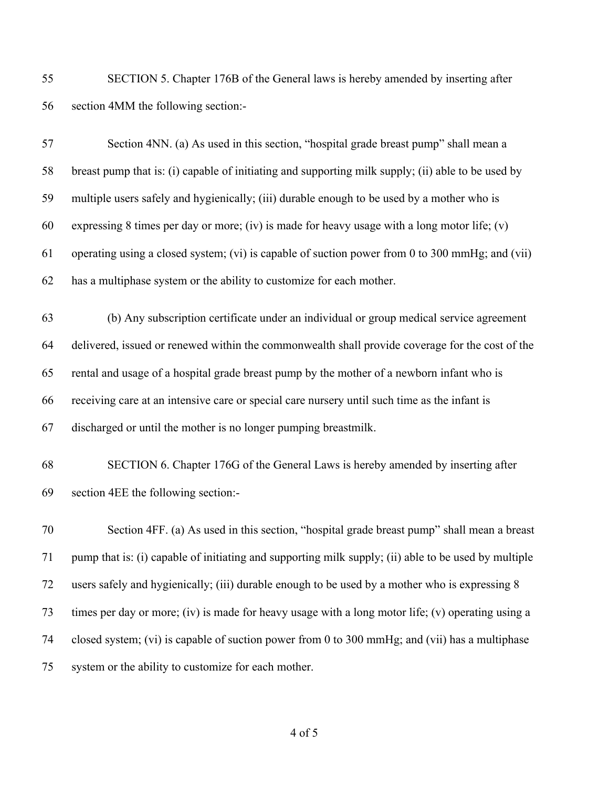SECTION 5. Chapter 176B of the General laws is hereby amended by inserting after section 4MM the following section:-

| 57 | Section 4NN. (a) As used in this section, "hospital grade breast pump" shall mean a                  |
|----|------------------------------------------------------------------------------------------------------|
| 58 | breast pump that is: (i) capable of initiating and supporting milk supply; (ii) able to be used by   |
| 59 | multiple users safely and hygienically; (iii) durable enough to be used by a mother who is           |
| 60 | expressing 8 times per day or more; (iv) is made for heavy usage with a long motor life; (v)         |
| 61 | operating using a closed system; (vi) is capable of suction power from 0 to 300 mmHg; and (vii)      |
| 62 | has a multiphase system or the ability to customize for each mother.                                 |
| 63 | (b) Any subscription certificate under an individual or group medical service agreement              |
| 64 | delivered, issued or renewed within the commonwealth shall provide coverage for the cost of the      |
| 65 | rental and usage of a hospital grade breast pump by the mother of a newborn infant who is            |
| 66 | receiving care at an intensive care or special care nursery until such time as the infant is         |
| 67 | discharged or until the mother is no longer pumping breastmilk.                                      |
| 68 | SECTION 6. Chapter 176G of the General Laws is hereby amended by inserting after                     |
| 69 | section 4EE the following section:-                                                                  |
| 70 | Section 4FF. (a) As used in this section, "hospital grade breast pump" shall mean a breast           |
| 71 | pump that is: (i) capable of initiating and supporting milk supply; (ii) able to be used by multiple |
| 72 | users safely and hygienically; (iii) durable enough to be used by a mother who is expressing 8       |
| 73 | times per day or more; (iv) is made for heavy usage with a long motor life; (v) operating using a    |
| 74 | closed system; (vi) is capable of suction power from 0 to 300 mmHg; and (vii) has a multiphase       |
| 75 | system or the ability to customize for each mother.                                                  |

of 5